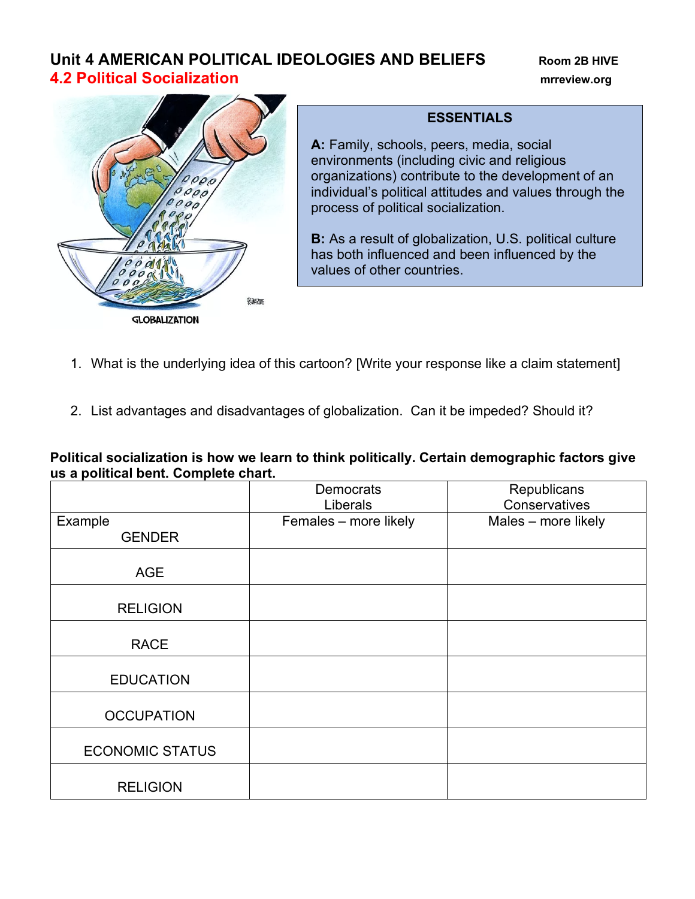## **Unit 4 AMERICAN POLITICAL IDEOLOGIES AND BELIEFS** Room 2B HIVE **4.2 Political Socialization mrreview.org**



## **ESSENTIALS**

**A:** Family, schools, peers, media, social environments (including civic and religious organizations) contribute to the development of an individual's political attitudes and values through the process of political socialization.

**B:** As a result of globalization, U.S. political culture has both influenced and been influenced by the values of other countries.

- 1. What is the underlying idea of this cartoon? [Write your response like a claim statement]
- 2. List advantages and disadvantages of globalization. Can it be impeded? Should it?

**Political socialization is how we learn to think politically. Certain demographic factors give us a political bent. Complete chart.**

|                          | <b>Democrats</b><br>Liberals | Republicans<br>Conservatives |  |
|--------------------------|------------------------------|------------------------------|--|
| Example<br><b>GENDER</b> | Females - more likely        | Males - more likely          |  |
| <b>AGE</b>               |                              |                              |  |
| <b>RELIGION</b>          |                              |                              |  |
| <b>RACE</b>              |                              |                              |  |
| <b>EDUCATION</b>         |                              |                              |  |
| <b>OCCUPATION</b>        |                              |                              |  |
| <b>ECONOMIC STATUS</b>   |                              |                              |  |
| <b>RELIGION</b>          |                              |                              |  |